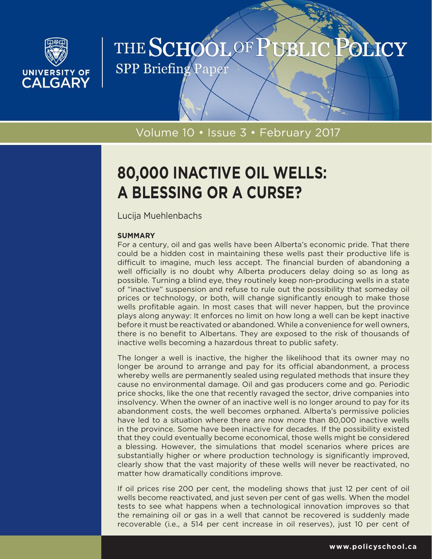

# THE SCHOOL OF PUBLIC POLICY

**SPP Briefing Paper** 

# Volume 10 • Issue 3 • February 2017

# **80,000 INACTIVE OIL WELLS: A BLESSING OR A CURSE?**

Lucija Muehlenbachs

# **SUMMARY**

For a century, oil and gas wells have been Alberta's economic pride. That there could be a hidden cost in maintaining these wells past their productive life is difficult to imagine, much less accept. The financial burden of abandoning a well officially is no doubt why Alberta producers delay doing so as long as possible. Turning a blind eye, they routinely keep non-producing wells in a state of "inactive" suspension and refuse to rule out the possibility that someday oil prices or technology, or both, will change significantly enough to make those wells profitable again. In most cases that will never happen, but the province plays along anyway: It enforces no limit on how long a well can be kept inactive before it must be reactivated or abandoned. While a convenience for well owners, there is no benefit to Albertans. They are exposed to the risk of thousands of inactive wells becoming a hazardous threat to public safety.

The longer a well is inactive, the higher the likelihood that its owner may no longer be around to arrange and pay for its official abandonment, a process whereby wells are permanently sealed using regulated methods that insure they cause no environmental damage. Oil and gas producers come and go. Periodic price shocks, like the one that recently ravaged the sector, drive companies into insolvency. When the owner of an inactive well is no longer around to pay for its abandonment costs, the well becomes orphaned. Alberta's permissive policies have led to a situation where there are now more than 80,000 inactive wells in the province. Some have been inactive for decades. If the possibility existed that they could eventually become economical, those wells might be considered a blessing. However, the simulations that model scenarios where prices are substantially higher or where production technology is significantly improved, clearly show that the vast majority of these wells will never be reactivated, no matter how dramatically conditions improve.

If oil prices rise 200 per cent, the modeling shows that just 12 per cent of oil wells become reactivated, and just seven per cent of gas wells. When the model tests to see what happens when a technological innovation improves so that the remaining oil or gas in a well that cannot be recovered is suddenly made recoverable (i.e., a 514 per cent increase in oil reserves), just 10 per cent of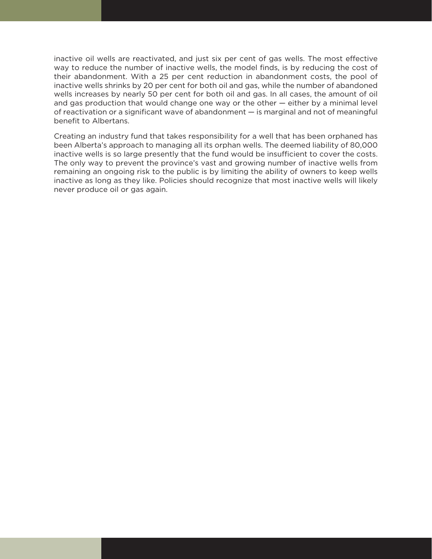inactive oil wells are reactivated, and just six per cent of gas wells. The most effective way to reduce the number of inactive wells, the model finds, is by reducing the cost of their abandonment. With a 25 per cent reduction in abandonment costs, the pool of inactive wells shrinks by 20 per cent for both oil and gas, while the number of abandoned wells increases by nearly 50 per cent for both oil and gas. In all cases, the amount of oil and gas production that would change one way or the other — either by a minimal level of reactivation or a significant wave of abandonment — is marginal and not of meaningful benefit to Albertans.

Creating an industry fund that takes responsibility for a well that has been orphaned has been Alberta's approach to managing all its orphan wells. The deemed liability of 80,000 inactive wells is so large presently that the fund would be insufficient to cover the costs. The only way to prevent the province's vast and growing number of inactive wells from remaining an ongoing risk to the public is by limiting the ability of owners to keep wells inactive as long as they like. Policies should recognize that most inactive wells will likely never produce oil or gas again.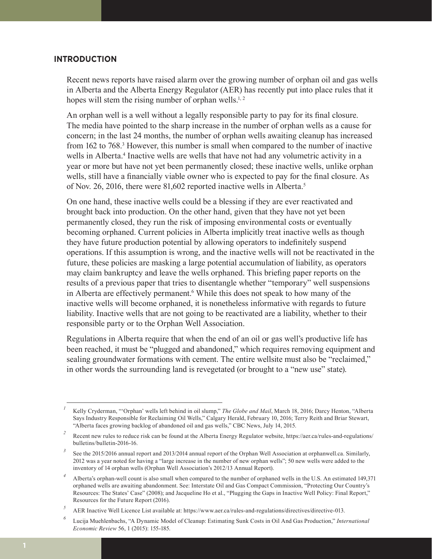## **INTRODUCTION**

Recent news reports have raised alarm over the growing number of orphan oil and gas wells in Alberta and the Alberta Energy Regulator (AER) has recently put into place rules that it hopes will stem the rising number of orphan wells.<sup>1,2</sup>

An orphan well is a well without a legally responsible party to pay for its final closure. The media have pointed to the sharp increase in the number of orphan wells as a cause for concern; in the last 24 months, the number of orphan wells awaiting cleanup has increased from 162 to 768.<sup>3</sup> However, this number is small when compared to the number of inactive wells in Alberta.<sup>4</sup> Inactive wells are wells that have not had any volumetric activity in a year or more but have not yet been permanently closed; these inactive wells, unlike orphan wells, still have a financially viable owner who is expected to pay for the final closure. As of Nov. 26, 2016, there were 81,602 reported inactive wells in Alberta.5

On one hand, these inactive wells could be a blessing if they are ever reactivated and brought back into production. On the other hand, given that they have not yet been permanently closed, they run the risk of imposing environmental costs or eventually becoming orphaned. Current policies in Alberta implicitly treat inactive wells as though they have future production potential by allowing operators to indefinitely suspend operations. If this assumption is wrong, and the inactive wells will not be reactivated in the future, these policies are masking a large potential accumulation of liability, as operators may claim bankruptcy and leave the wells orphaned. This briefing paper reports on the results of a previous paper that tries to disentangle whether "temporary" well suspensions in Alberta are effectively permanent.<sup>6</sup> While this does not speak to how many of the inactive wells will become orphaned, it is nonetheless informative with regards to future liability. Inactive wells that are not going to be reactivated are a liability, whether to their responsible party or to the Orphan Well Association.

Regulations in Alberta require that when the end of an oil or gas well's productive life has been reached, it must be "plugged and abandoned," which requires removing equipment and sealing groundwater formations with cement. The entire wellsite must also be "reclaimed," in other words the surrounding land is revegetated (or brought to a "new use" state).

*<sup>1</sup>* Kelly Cryderman, "'Orphan' wells left behind in oil slump," *The Globe and Mail*, March 18, 2016; Darcy Henton, "Alberta Says Industry Responsible for Reclaiming Oil Wells," Calgary Herald, February 10, 2016; Terry Reith and Briar Stewart, "Alberta faces growing backlog of abandoned oil and gas wells," CBC News, July 14, 2015.

<sup>&</sup>lt;sup>2</sup> Recent new rules to reduce risk can be found at the Alberta Energy Regulator website, https://aer.ca/rules-and-regulations/ bulletins/bulletin-2016-16.

*<sup>3</sup>* See the 2015/2016 annual report and 2013/2014 annual report of the Orphan Well Association at orphanwell.ca. Similarly, 2012 was a year noted for having a "large increase in the number of new orphan wells"; 50 new wells were added to the inventory of 14 orphan wells (Orphan Well Association's 2012/13 Annual Report).

*<sup>4</sup>* Alberta's orphan-well count is also small when compared to the number of orphaned wells in the U.S. An estimated 149,371 orphaned wells are awaiting abandonment. See: Interstate Oil and Gas Compact Commission, "Protecting Our Country's Resources: The States' Case" (2008); and Jacqueline Ho et al., "Plugging the Gaps in Inactive Well Policy: Final Report," Resources for the Future Report (2016).

*<sup>5</sup>* AER Inactive Well Licence List available at: https://www.aer.ca/rules-and-regulations/directives/directive-013.

*<sup>6</sup>* Lucija Muehlenbachs, "A Dynamic Model of Cleanup: Estimating Sunk Costs in Oil And Gas Production," *International Economic Review* 56, 1 (2015): 155-185.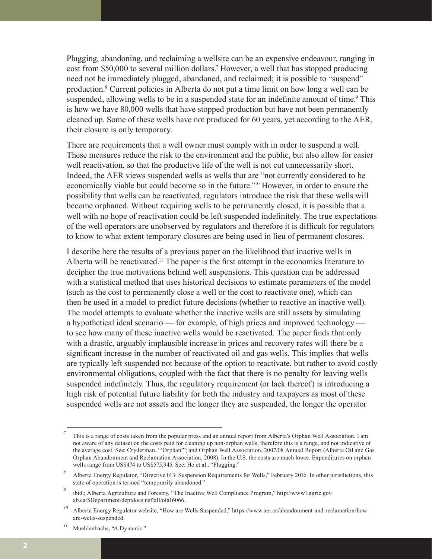Plugging, abandoning, and reclaiming a wellsite can be an expensive endeavour, ranging in cost from \$50,000 to several million dollars.<sup>7</sup> However, a well that has stopped producing need not be immediately plugged, abandoned, and reclaimed; it is possible to "suspend" production.8 Current policies in Alberta do not put a time limit on how long a well can be suspended, allowing wells to be in a suspended state for an indefinite amount of time.<sup>9</sup> This is how we have 80,000 wells that have stopped production but have not been permanently cleaned up. Some of these wells have not produced for 60 years, yet according to the AER, their closure is only temporary.

There are requirements that a well owner must comply with in order to suspend a well. These measures reduce the risk to the environment and the public, but also allow for easier well reactivation, so that the productive life of the well is not cut unnecessarily short. Indeed, the AER views suspended wells as wells that are "not currently considered to be economically viable but could become so in the future."10 However, in order to ensure the possibility that wells can be reactivated, regulators introduce the risk that these wells will become orphaned. Without requiring wells to be permanently closed, it is possible that a well with no hope of reactivation could be left suspended indefinitely. The true expectations of the well operators are unobserved by regulators and therefore it is difficult for regulators to know to what extent temporary closures are being used in lieu of permanent closures.

I describe here the results of a previous paper on the likelihood that inactive wells in Alberta will be reactivated.11 The paper is the first attempt in the economics literature to decipher the true motivations behind well suspensions. This question can be addressed with a statistical method that uses historical decisions to estimate parameters of the model (such as the cost to permanently close a well or the cost to reactivate one), which can then be used in a model to predict future decisions (whether to reactive an inactive well). The model attempts to evaluate whether the inactive wells are still assets by simulating a hypothetical ideal scenario — for example, of high prices and improved technology to see how many of these inactive wells would be reactivated. The paper finds that only with a drastic, arguably implausible increase in prices and recovery rates will there be a significant increase in the number of reactivated oil and gas wells. This implies that wells are typically left suspended not because of the option to reactivate, but rather to avoid costly environmental obligations, coupled with the fact that there is no penalty for leaving wells suspended indefinitely. Thus, the regulatory requirement (or lack thereof) is introducing a high risk of potential future liability for both the industry and taxpayers as most of these suspended wells are not assets and the longer they are suspended, the longer the operator

*<sup>7</sup>* This is a range of costs taken from the popular press and an annual report from Alberta's Orphan Well Association. I am not aware of any dataset on the costs paid for cleaning up non-orphan wells, therefore this is a range, and not indicative of the average cost. See: Cryderman, "'Orphan'"; and Orphan Well Association, 2007/08 Annual Report (Alberta Oil and Gas Orphan Abandonment and Reclamation Association, 2008). In the U.S. the costs are much lower. Expenditures on orphan wells range from US\$474 to US\$575,945. See: Ho et al., "Plugging."

*<sup>8</sup>* Alberta Energy Regulator, "Directive 013: Suspension Requirements for Wells," February 2016. In other jurisdictions, this state of operation is termed "temporarily abandoned."

*<sup>9</sup>* ibid.; Alberta Agriculture and Forestry, "The Inactive Well Compliance Program," http://www1.agric.gov. ab.ca/\$Department/deptdocs.nsf/all/ofa16066.

<sup>&</sup>lt;sup>10</sup> Alberta Energy Regulator website, "How are Wells Suspended," https://www.aer.ca/abandonment-and-reclamation/howare-wells-suspended.

Muehlenbachs, "A Dynamic."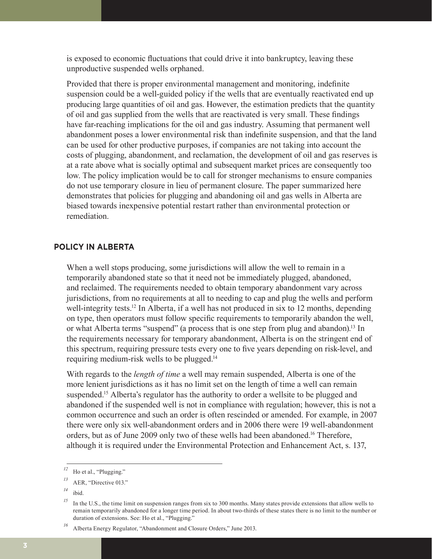is exposed to economic fluctuations that could drive it into bankruptcy, leaving these unproductive suspended wells orphaned.

Provided that there is proper environmental management and monitoring, indefinite suspension could be a well-guided policy if the wells that are eventually reactivated end up producing large quantities of oil and gas. However, the estimation predicts that the quantity of oil and gas supplied from the wells that are reactivated is very small. These findings have far-reaching implications for the oil and gas industry. Assuming that permanent well abandonment poses a lower environmental risk than indefinite suspension, and that the land can be used for other productive purposes, if companies are not taking into account the costs of plugging, abandonment, and reclamation, the development of oil and gas reserves is at a rate above what is socially optimal and subsequent market prices are consequently too low. The policy implication would be to call for stronger mechanisms to ensure companies do not use temporary closure in lieu of permanent closure. The paper summarized here demonstrates that policies for plugging and abandoning oil and gas wells in Alberta are biased towards inexpensive potential restart rather than environmental protection or remediation.

# **POLICY IN ALBERTA**

When a well stops producing, some jurisdictions will allow the well to remain in a temporarily abandoned state so that it need not be immediately plugged, abandoned, and reclaimed. The requirements needed to obtain temporary abandonment vary across jurisdictions, from no requirements at all to needing to cap and plug the wells and perform well-integrity tests.<sup>12</sup> In Alberta, if a well has not produced in six to 12 months, depending on type, then operators must follow specific requirements to temporarily abandon the well, or what Alberta terms "suspend" (a process that is one step from plug and abandon).<sup>13</sup> In the requirements necessary for temporary abandonment, Alberta is on the stringent end of this spectrum, requiring pressure tests every one to five years depending on risk-level, and requiring medium-risk wells to be plugged.14

With regards to the *length of time* a well may remain suspended, Alberta is one of the more lenient jurisdictions as it has no limit set on the length of time a well can remain suspended.<sup>15</sup> Alberta's regulator has the authority to order a wellsite to be plugged and abandoned if the suspended well is not in compliance with regulation; however, this is not a common occurrence and such an order is often rescinded or amended. For example, in 2007 there were only six well-abandonment orders and in 2006 there were 19 well-abandonment orders, but as of June 2009 only two of these wells had been abandoned.16 Therefore, although it is required under the Environmental Protection and Enhancement Act, s. 137,

<sup>&</sup>lt;sup>12</sup> Ho et al., "Plugging."

*<sup>13</sup>* AER, "Directive 013."

*<sup>14</sup>* ibid.

<sup>&</sup>lt;sup>15</sup> In the U.S., the time limit on suspension ranges from six to 300 months. Many states provide extensions that allow wells to remain temporarily abandoned for a longer time period. In about two-thirds of these states there is no limit to the number or duration of extensions. See: Ho et al., "Plugging."

<sup>&</sup>lt;sup>16</sup> Alberta Energy Regulator, "Abandonment and Closure Orders," June 2013.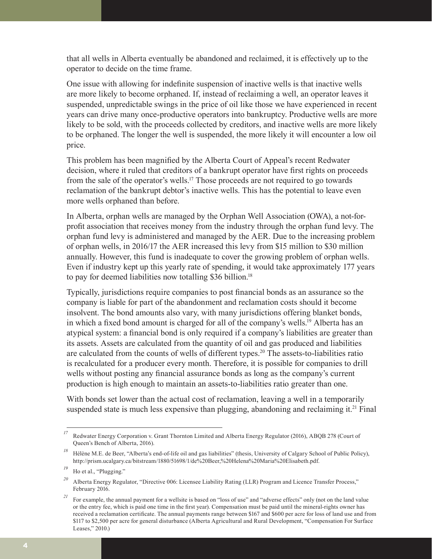that all wells in Alberta eventually be abandoned and reclaimed, it is effectively up to the operator to decide on the time frame.

One issue with allowing for indefinite suspension of inactive wells is that inactive wells are more likely to become orphaned. If, instead of reclaiming a well, an operator leaves it suspended, unpredictable swings in the price of oil like those we have experienced in recent years can drive many once-productive operators into bankruptcy. Productive wells are more likely to be sold, with the proceeds collected by creditors, and inactive wells are more likely to be orphaned. The longer the well is suspended, the more likely it will encounter a low oil price.

This problem has been magnified by the Alberta Court of Appeal's recent Redwater decision, where it ruled that creditors of a bankrupt operator have first rights on proceeds from the sale of the operator's wells.17 Those proceeds are not required to go towards reclamation of the bankrupt debtor's inactive wells. This has the potential to leave even more wells orphaned than before.

In Alberta, orphan wells are managed by the Orphan Well Association (OWA), a not-forprofit association that receives money from the industry through the orphan fund levy. The orphan fund levy is administered and managed by the AER. Due to the increasing problem of orphan wells, in 2016/17 the AER increased this levy from \$15 million to \$30 million annually. However, this fund is inadequate to cover the growing problem of orphan wells. Even if industry kept up this yearly rate of spending, it would take approximately 177 years to pay for deemed liabilities now totalling \$36 billion.<sup>18</sup>

Typically, jurisdictions require companies to post financial bonds as an assurance so the company is liable for part of the abandonment and reclamation costs should it become insolvent. The bond amounts also vary, with many jurisdictions offering blanket bonds, in which a fixed bond amount is charged for all of the company's wells.19 Alberta has an atypical system: a financial bond is only required if a company's liabilities are greater than its assets. Assets are calculated from the quantity of oil and gas produced and liabilities are calculated from the counts of wells of different types.20 The assets-to-liabilities ratio is recalculated for a producer every month. Therefore, it is possible for companies to drill wells without posting any financial assurance bonds as long as the company's current production is high enough to maintain an assets-to-liabilities ratio greater than one.

With bonds set lower than the actual cost of reclamation, leaving a well in a temporarily suspended state is much less expensive than plugging, abandoning and reclaiming it.<sup>21</sup> Final

*<sup>17</sup>* Redwater Energy Corporation v. Grant Thornton Limited and Alberta Energy Regulator (2016), ABQB 278 (Court of Queen's Bench of Alberta, 2016).

*<sup>18</sup>* Hélène M.E. de Beer, "Alberta's end-of-life oil and gas liabilities" (thesis, University of Calgary School of Public Policy), http://prism.ucalgary.ca/bitstream/1880/51698/1/de%20Beer,%20Helena%20Maria%20Elisabeth.pdf.

<sup>&</sup>lt;sup>19</sup> Ho et al., "Plugging."

<sup>&</sup>lt;sup>20</sup> Alberta Energy Regulator, "Directive 006: Licensee Liability Rating (LLR) Program and Licence Transfer Process," February 2016.

<sup>&</sup>lt;sup>21</sup> For example, the annual payment for a wellsite is based on "loss of use" and "adverse effects" only (not on the land value or the entry fee, which is paid one time in the first year). Compensation must be paid until the mineral-rights owner has received a reclamation certificate. The annual payments range between \$167 and \$600 per acre for loss of land use and from \$117 to \$2,500 per acre for general disturbance (Alberta Agricultural and Rural Development, "Compensation For Surface Leases," 2010.)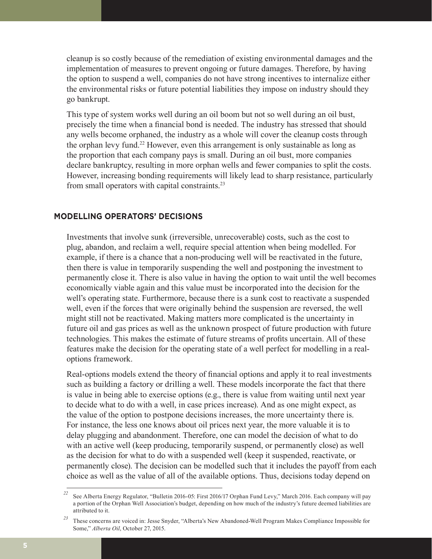cleanup is so costly because of the remediation of existing environmental damages and the implementation of measures to prevent ongoing or future damages. Therefore, by having the option to suspend a well, companies do not have strong incentives to internalize either the environmental risks or future potential liabilities they impose on industry should they go bankrupt.

This type of system works well during an oil boom but not so well during an oil bust, precisely the time when a financial bond is needed. The industry has stressed that should any wells become orphaned, the industry as a whole will cover the cleanup costs through the orphan levy fund.<sup>22</sup> However, even this arrangement is only sustainable as long as the proportion that each company pays is small. During an oil bust, more companies declare bankruptcy, resulting in more orphan wells and fewer companies to split the costs. However, increasing bonding requirements will likely lead to sharp resistance, particularly from small operators with capital constraints.23

# **MODELLING OPERATORS' DECISIONS**

Investments that involve sunk (irreversible, unrecoverable) costs, such as the cost to plug, abandon, and reclaim a well, require special attention when being modelled. For example, if there is a chance that a non-producing well will be reactivated in the future, then there is value in temporarily suspending the well and postponing the investment to permanently close it. There is also value in having the option to wait until the well becomes economically viable again and this value must be incorporated into the decision for the well's operating state. Furthermore, because there is a sunk cost to reactivate a suspended well, even if the forces that were originally behind the suspension are reversed, the well might still not be reactivated. Making matters more complicated is the uncertainty in future oil and gas prices as well as the unknown prospect of future production with future technologies. This makes the estimate of future streams of profits uncertain. All of these features make the decision for the operating state of a well perfect for modelling in a realoptions framework.

Real-options models extend the theory of financial options and apply it to real investments such as building a factory or drilling a well. These models incorporate the fact that there is value in being able to exercise options (e.g., there is value from waiting until next year to decide what to do with a well, in case prices increase). And as one might expect, as the value of the option to postpone decisions increases, the more uncertainty there is. For instance, the less one knows about oil prices next year, the more valuable it is to delay plugging and abandonment. Therefore, one can model the decision of what to do with an active well (keep producing, temporarily suspend, or permanently close) as well as the decision for what to do with a suspended well (keep it suspended, reactivate, or permanently close). The decision can be modelled such that it includes the payoff from each choice as well as the value of all of the available options. Thus, decisions today depend on

*<sup>22</sup>* See Alberta Energy Regulator, "Bulletin 2016-05: First 2016/17 Orphan Fund Levy," March 2016. Each company will pay a portion of the Orphan Well Association's budget, depending on how much of the industry's future deemed liabilities are attributed to it.

*<sup>23</sup>* These concerns are voiced in: Jesse Snyder, "Alberta's New Abandoned-Well Program Makes Compliance Impossible for Some," *Alberta Oil*, October 27, 2015.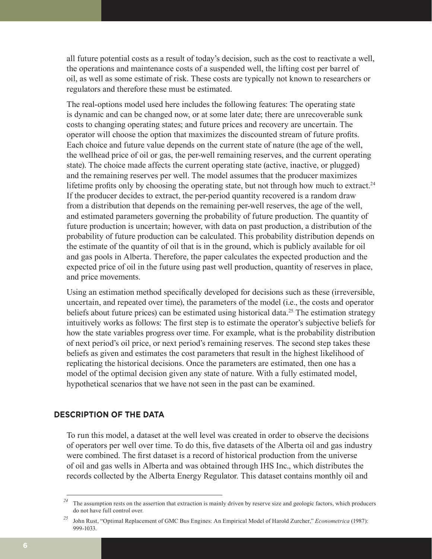all future potential costs as a result of today's decision, such as the cost to reactivate a well, the operations and maintenance costs of a suspended well, the lifting cost per barrel of oil, as well as some estimate of risk. These costs are typically not known to researchers or regulators and therefore these must be estimated.

The real-options model used here includes the following features: The operating state is dynamic and can be changed now, or at some later date; there are unrecoverable sunk costs to changing operating states; and future prices and recovery are uncertain. The operator will choose the option that maximizes the discounted stream of future profits. Each choice and future value depends on the current state of nature (the age of the well, the wellhead price of oil or gas, the per-well remaining reserves, and the current operating state). The choice made affects the current operating state (active, inactive, or plugged) and the remaining reserves per well. The model assumes that the producer maximizes lifetime profits only by choosing the operating state, but not through how much to extract.<sup>24</sup> If the producer decides to extract, the per-period quantity recovered is a random draw from a distribution that depends on the remaining per-well reserves, the age of the well, and estimated parameters governing the probability of future production. The quantity of future production is uncertain; however, with data on past production, a distribution of the probability of future production can be calculated. This probability distribution depends on the estimate of the quantity of oil that is in the ground, which is publicly available for oil and gas pools in Alberta. Therefore, the paper calculates the expected production and the expected price of oil in the future using past well production, quantity of reserves in place, and price movements.

Using an estimation method specifically developed for decisions such as these (irreversible, uncertain, and repeated over time), the parameters of the model (i.e., the costs and operator beliefs about future prices) can be estimated using historical data.<sup>25</sup> The estimation strategy intuitively works as follows: The first step is to estimate the operator's subjective beliefs for how the state variables progress over time. For example, what is the probability distribution of next period's oil price, or next period's remaining reserves. The second step takes these beliefs as given and estimates the cost parameters that result in the highest likelihood of replicating the historical decisions. Once the parameters are estimated, then one has a model of the optimal decision given any state of nature. With a fully estimated model, hypothetical scenarios that we have not seen in the past can be examined.

# **DESCRIPTION OF THE DATA**

To run this model, a dataset at the well level was created in order to observe the decisions of operators per well over time. To do this, five datasets of the Alberta oil and gas industry were combined. The first dataset is a record of historical production from the universe of oil and gas wells in Alberta and was obtained through IHS Inc., which distributes the records collected by the Alberta Energy Regulator. This dataset contains monthly oil and

<sup>&</sup>lt;sup>24</sup> The assumption rests on the assertion that extraction is mainly driven by reserve size and geologic factors, which producers do not have full control over.

*<sup>25</sup>* John Rust, "Optimal Replacement of GMC Bus Engines: An Empirical Model of Harold Zurcher," *Econometrica* (1987): 999-1033.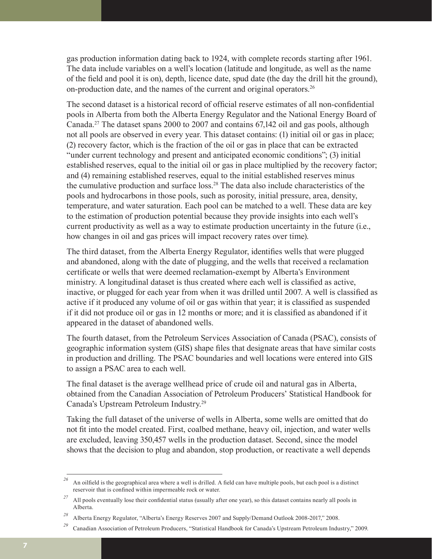gas production information dating back to 1924, with complete records starting after 1961. The data include variables on a well's location (latitude and longitude, as well as the name of the field and pool it is on), depth, licence date, spud date (the day the drill hit the ground), on-production date, and the names of the current and original operators.26

The second dataset is a historical record of official reserve estimates of all non-confidential pools in Alberta from both the Alberta Energy Regulator and the National Energy Board of Canada.27 The dataset spans 2000 to 2007 and contains 67,142 oil and gas pools, although not all pools are observed in every year. This dataset contains: (1) initial oil or gas in place; (2) recovery factor, which is the fraction of the oil or gas in place that can be extracted "under current technology and present and anticipated economic conditions"; (3) initial established reserves, equal to the initial oil or gas in place multiplied by the recovery factor; and (4) remaining established reserves, equal to the initial established reserves minus the cumulative production and surface loss.28 The data also include characteristics of the pools and hydrocarbons in those pools, such as porosity, initial pressure, area, density, temperature, and water saturation. Each pool can be matched to a well. These data are key to the estimation of production potential because they provide insights into each well's current productivity as well as a way to estimate production uncertainty in the future (i.e., how changes in oil and gas prices will impact recovery rates over time).

The third dataset, from the Alberta Energy Regulator, identifies wells that were plugged and abandoned, along with the date of plugging, and the wells that received a reclamation certificate or wells that were deemed reclamation-exempt by Alberta's Environment ministry. A longitudinal dataset is thus created where each well is classified as active, inactive, or plugged for each year from when it was drilled until 2007. A well is classified as active if it produced any volume of oil or gas within that year; it is classified as suspended if it did not produce oil or gas in 12 months or more; and it is classified as abandoned if it appeared in the dataset of abandoned wells.

The fourth dataset, from the Petroleum Services Association of Canada (PSAC), consists of geographic information system (GIS) shape files that designate areas that have similar costs in production and drilling. The PSAC boundaries and well locations were entered into GIS to assign a PSAC area to each well.

The final dataset is the average wellhead price of crude oil and natural gas in Alberta, obtained from the Canadian Association of Petroleum Producers' Statistical Handbook for Canada's Upstream Petroleum Industry.29

Taking the full dataset of the universe of wells in Alberta, some wells are omitted that do not fit into the model created. First, coalbed methane, heavy oil, injection, and water wells are excluded, leaving 350,457 wells in the production dataset. Second, since the model shows that the decision to plug and abandon, stop production, or reactivate a well depends

<sup>&</sup>lt;sup>26</sup> An oilfield is the geographical area where a well is drilled. A field can have multiple pools, but each pool is a distinct reservoir that is confined within impermeable rock or water.

<sup>&</sup>lt;sup>27</sup> All pools eventually lose their confidential status (usually after one year), so this dataset contains nearly all pools in Alberta.

*<sup>28</sup>* Alberta Energy Regulator, "Alberta's Energy Reserves 2007 and Supply/Demand Outlook 2008-2017," 2008.

*<sup>29</sup>* Canadian Association of Petroleum Producers, "Statistical Handbook for Canada's Upstream Petroleum Industry," 2009.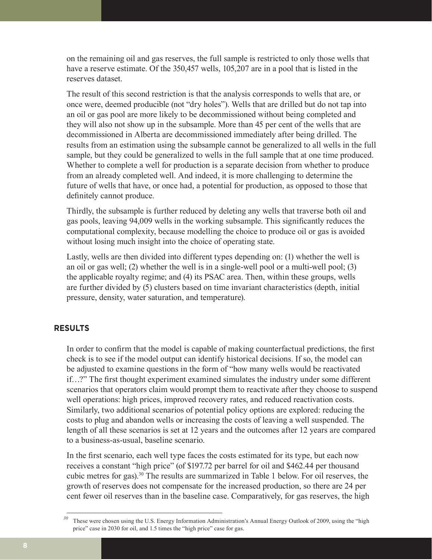on the remaining oil and gas reserves, the full sample is restricted to only those wells that have a reserve estimate. Of the 350,457 wells, 105,207 are in a pool that is listed in the reserves dataset.

The result of this second restriction is that the analysis corresponds to wells that are, or once were, deemed producible (not "dry holes"). Wells that are drilled but do not tap into an oil or gas pool are more likely to be decommissioned without being completed and they will also not show up in the subsample. More than 45 per cent of the wells that are decommissioned in Alberta are decommissioned immediately after being drilled. The results from an estimation using the subsample cannot be generalized to all wells in the full sample, but they could be generalized to wells in the full sample that at one time produced. Whether to complete a well for production is a separate decision from whether to produce from an already completed well. And indeed, it is more challenging to determine the future of wells that have, or once had, a potential for production, as opposed to those that definitely cannot produce.

Thirdly, the subsample is further reduced by deleting any wells that traverse both oil and gas pools, leaving 94,009 wells in the working subsample. This significantly reduces the computational complexity, because modelling the choice to produce oil or gas is avoided without losing much insight into the choice of operating state.

Lastly, wells are then divided into different types depending on: (1) whether the well is an oil or gas well; (2) whether the well is in a single-well pool or a multi-well pool; (3) the applicable royalty regime; and (4) its PSAC area. Then, within these groups, wells are further divided by (5) clusters based on time invariant characteristics (depth, initial pressure, density, water saturation, and temperature).

# **RESULTS**

In order to confirm that the model is capable of making counterfactual predictions, the first check is to see if the model output can identify historical decisions. If so, the model can be adjusted to examine questions in the form of "how many wells would be reactivated if…?" The first thought experiment examined simulates the industry under some different scenarios that operators claim would prompt them to reactivate after they choose to suspend well operations: high prices, improved recovery rates, and reduced reactivation costs. Similarly, two additional scenarios of potential policy options are explored: reducing the costs to plug and abandon wells or increasing the costs of leaving a well suspended. The length of all these scenarios is set at 12 years and the outcomes after 12 years are compared to a business-as-usual, baseline scenario.

In the first scenario, each well type faces the costs estimated for its type, but each now receives a constant "high price" (of \$197.72 per barrel for oil and \$462.44 per thousand cubic metres for gas).30 The results are summarized in Table 1 below. For oil reserves, the growth of reserves does not compensate for the increased production, so there are 24 per cent fewer oil reserves than in the baseline case. Comparatively, for gas reserves, the high

*<sup>30</sup>* These were chosen using the U.S. Energy Information Administration's Annual Energy Outlook of 2009, using the "high price" case in 2030 for oil, and 1.5 times the "high price" case for gas.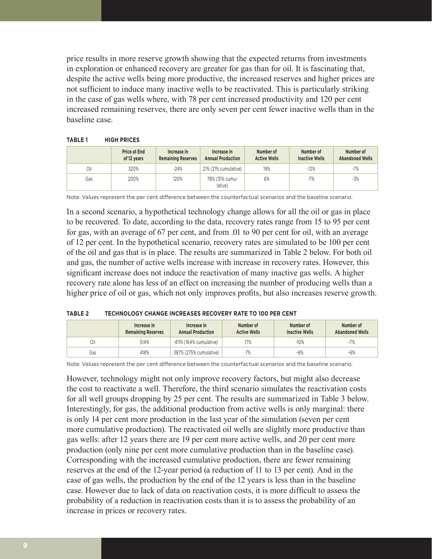price results in more reserve growth showing that the expected returns from investments in exploration or enhanced recovery are greater for gas than for oil. It is fascinating that, despite the active wells being more productive, the increased reserves and higher prices are not sufficient to induce many inactive wells to be reactivated. This is particularly striking in the case of gas wells where, with 78 per cent increased productivity and 120 per cent increased remaining reserves, there are only seven per cent fewer inactive wells than in the baseline case.

|     | <b>Price at End</b><br>of 12 years | Increase in<br><b>Remaining Reserves</b> | Increase in<br><b>Annual Production</b> | Number of<br><b>Active Wells</b> | Number of<br><b>Inactive Wells</b> | Number of<br><b>Abandoned Wells</b> |
|-----|------------------------------------|------------------------------------------|-----------------------------------------|----------------------------------|------------------------------------|-------------------------------------|
| Oil | 320%                               | $-24%$                                   | 21% (21% cumulative)                    | 19%                              | $-12%$                             | $-7\%$                              |
| Gas | 200%                               | 120%                                     | 78% (31% cumu-<br>lative)               | 6%                               | $-7%$                              | -3%                                 |

Note: Values represent the per cent difference between the counterfactual scenarios and the baseline scenario.

In a second scenario, a hypothetical technology change allows for all the oil or gas in place to be recovered. To date, according to the data, recovery rates range from 15 to 95 per cent for gas, with an average of 67 per cent, and from .01 to 90 per cent for oil, with an average of 12 per cent. In the hypothetical scenario, recovery rates are simulated to be 100 per cent of the oil and gas that is in place. The results are summarized in Table 2 below. For both oil and gas, the number of active wells increase with increase in recovery rates. However, this significant increase does not induce the reactivation of many inactive gas wells. A higher recovery rate alone has less of an effect on increasing the number of producing wells than a higher price of oil or gas, which not only improves profits, but also increases reserve growth.

| TABLE 2 | TECHNOLOGY CHANGE INCREASES RECOVERY RATE TO 100 PER CENT |  |  |  |
|---------|-----------------------------------------------------------|--|--|--|
|         |                                                           |  |  |  |

|     | Increase in<br><b>Remaining Reserves</b> | Increase in<br><b>Annual Production</b> | Number of<br><b>Active Wells</b> | Number of<br><b>Inactive Wells</b> | Number of<br><b>Abandoned Wells</b> |
|-----|------------------------------------------|-----------------------------------------|----------------------------------|------------------------------------|-------------------------------------|
| Oil | 514%                                     | 411% (164% cumulative)                  | 17%                              | $-10%$                             | $-7%$                               |
| Gas | 418%                                     | 387% (275% cumulative)                  | 7%                               | $-6%$                              | $-6%$                               |

Note: Values represent the per cent difference between the counterfactual scenarios and the baseline scenario.

However, technology might not only improve recovery factors, but might also decrease the cost to reactivate a well. Therefore, the third scenario simulates the reactivation costs for all well groups dropping by 25 per cent. The results are summarized in Table 3 below. Interestingly, for gas, the additional production from active wells is only marginal: there is only 14 per cent more production in the last year of the simulation (seven per cent more cumulative production). The reactivated oil wells are slightly more productive than gas wells: after 12 years there are 19 per cent more active wells, and 20 per cent more production (only nine per cent more cumulative production than in the baseline case). Corresponding with the increased cumulative production, there are fewer remaining reserves at the end of the 12-year period (a reduction of 11 to 13 per cent). And in the case of gas wells, the production by the end of the 12 years is less than in the baseline case. However due to lack of data on reactivation costs, it is more difficult to assess the probability of a reduction in reactivation costs than it is to assess the probability of an increase in prices or recovery rates.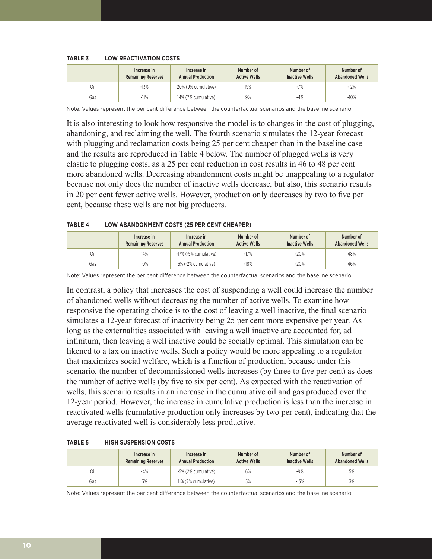#### **TABLE 3 LOW REACTIVATION COSTS**

|     | Increase in<br><b>Remaining Reserves</b> | Increase in<br><b>Annual Production</b> | Number of<br><b>Active Wells</b> | Number of<br><b>Inactive Wells</b> | Number of<br><b>Abandoned Wells</b> |
|-----|------------------------------------------|-----------------------------------------|----------------------------------|------------------------------------|-------------------------------------|
| Oil | $-13%$                                   | 20% (9% cumulative)                     | 19%                              | $-7%$                              | $-12%$                              |
| Gas | $-11%$                                   | 14% (7% cumulative)                     | 9%                               | $-4%$                              | $-10%$                              |

Note: Values represent the per cent difference between the counterfactual scenarios and the baseline scenario.

It is also interesting to look how responsive the model is to changes in the cost of plugging, abandoning, and reclaiming the well. The fourth scenario simulates the 12-year forecast with plugging and reclamation costs being 25 per cent cheaper than in the baseline case and the results are reproduced in Table 4 below. The number of plugged wells is very elastic to plugging costs, as a 25 per cent reduction in cost results in 46 to 48 per cent more abandoned wells. Decreasing abandonment costs might be unappealing to a regulator because not only does the number of inactive wells decrease, but also, this scenario results in 20 per cent fewer active wells. However, production only decreases by two to five per cent, because these wells are not big producers.

#### **TABLE 4 LOW ABANDONMENT COSTS (25 PER CENT CHEAPER)**

|     | Increase in<br><b>Remaining Reserves</b> | Increase in<br><b>Annual Production</b> | Number of<br><b>Active Wells</b> | Number of<br><b>Inactive Wells</b> | Number of<br><b>Abandoned Wells</b> |
|-----|------------------------------------------|-----------------------------------------|----------------------------------|------------------------------------|-------------------------------------|
| Oil | 14%                                      | -17% (-5% cumulative)                   | $-17%$                           | $-20%$                             | 48%                                 |
| Gas | 10%                                      | 6% (-2% cumulative)                     | $-18%$                           | $-20%$                             | 46%                                 |

Note: Values represent the per cent difference between the counterfactual scenarios and the baseline scenario.

In contrast, a policy that increases the cost of suspending a well could increase the number of abandoned wells without decreasing the number of active wells. To examine how responsive the operating choice is to the cost of leaving a well inactive, the final scenario simulates a 12-year forecast of inactivity being 25 per cent more expensive per year. As long as the externalities associated with leaving a well inactive are accounted for, ad infinitum, then leaving a well inactive could be socially optimal. This simulation can be likened to a tax on inactive wells. Such a policy would be more appealing to a regulator that maximizes social welfare, which is a function of production, because under this scenario, the number of decommissioned wells increases (by three to five per cent) as does the number of active wells (by five to six per cent). As expected with the reactivation of wells, this scenario results in an increase in the cumulative oil and gas produced over the 12-year period. However, the increase in cumulative production is less than the increase in reactivated wells (cumulative production only increases by two per cent), indicating that the average reactivated well is considerably less productive.

| <b>TABLE 5</b> | <b>HIGH SUSPENSION COSTS</b> |
|----------------|------------------------------|
|                |                              |

|     | Increase in<br><b>Remaining Reserves</b> | Increase in<br><b>Annual Production</b> | Number of<br><b>Active Wells</b> | Number of<br><b>Inactive Wells</b> | Number of<br><b>Abandoned Wells</b> |
|-----|------------------------------------------|-----------------------------------------|----------------------------------|------------------------------------|-------------------------------------|
| Oil | $-4%$                                    | -5% (2% cumulative)                     | 6%                               | $-9%$                              | 5%                                  |
| Gas | 3%                                       | 11% (2% cumulative)                     | 5%                               | $-13%$                             | 3%                                  |

Note: Values represent the per cent difference between the counterfactual scenarios and the baseline scenario.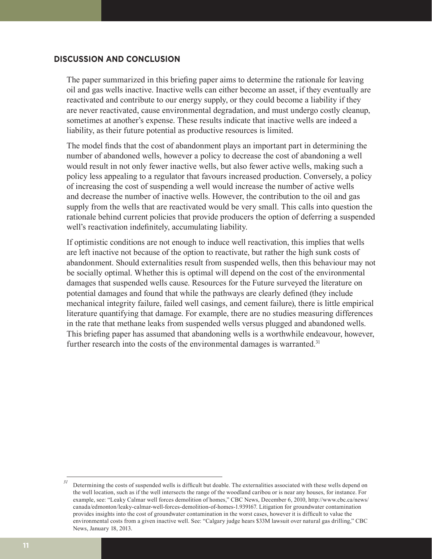# **DISCUSSION AND CONCLUSION**

The paper summarized in this briefing paper aims to determine the rationale for leaving oil and gas wells inactive. Inactive wells can either become an asset, if they eventually are reactivated and contribute to our energy supply, or they could become a liability if they are never reactivated, cause environmental degradation, and must undergo costly cleanup, sometimes at another's expense. These results indicate that inactive wells are indeed a liability, as their future potential as productive resources is limited.

The model finds that the cost of abandonment plays an important part in determining the number of abandoned wells, however a policy to decrease the cost of abandoning a well would result in not only fewer inactive wells, but also fewer active wells, making such a policy less appealing to a regulator that favours increased production. Conversely, a policy of increasing the cost of suspending a well would increase the number of active wells and decrease the number of inactive wells. However, the contribution to the oil and gas supply from the wells that are reactivated would be very small. This calls into question the rationale behind current policies that provide producers the option of deferring a suspended well's reactivation indefinitely, accumulating liability.

If optimistic conditions are not enough to induce well reactivation, this implies that wells are left inactive not because of the option to reactivate, but rather the high sunk costs of abandonment. Should externalities result from suspended wells, then this behaviour may not be socially optimal. Whether this is optimal will depend on the cost of the environmental damages that suspended wells cause. Resources for the Future surveyed the literature on potential damages and found that while the pathways are clearly defined (they include mechanical integrity failure, failed well casings, and cement failure), there is little empirical literature quantifying that damage. For example, there are no studies measuring differences in the rate that methane leaks from suspended wells versus plugged and abandoned wells. This briefing paper has assumed that abandoning wells is a worthwhile endeavour, however, further research into the costs of the environmental damages is warranted.<sup>31</sup>

*<sup>31</sup>* Determining the costs of suspended wells is difficult but doable. The externalities associated with these wells depend on the well location, such as if the well intersects the range of the woodland caribou or is near any houses, for instance. For example, see: "Leaky Calmar well forces demolition of homes," CBC News, December 6, 2010, http://www.cbc.ca/news/ canada/edmonton/leaky-calmar-well-forces-demolition-of-homes-1.939167. Litigation for groundwater contamination provides insights into the cost of groundwater contamination in the worst cases, however it is difficult to value the environmental costs from a given inactive well. See: "Calgary judge hears \$33M lawsuit over natural gas drilling," CBC News, January 18, 2013.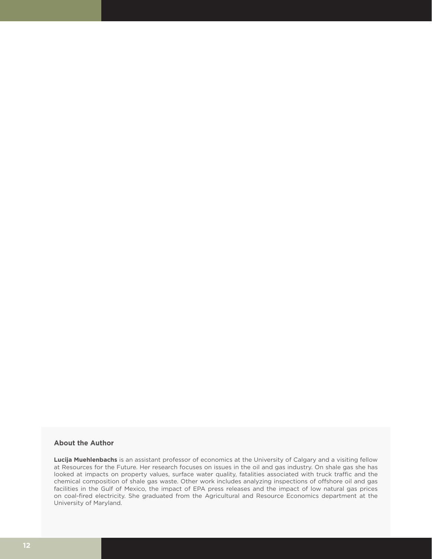## **About the Author**

**Lucija Muehlenbachs** is an assistant professor of economics at the University of Calgary and a visiting fellow at Resources for the Future. Her research focuses on issues in the oil and gas industry. On shale gas she has looked at impacts on property values, surface water quality, fatalities associated with truck traffic and the chemical composition of shale gas waste. Other work includes analyzing inspections of offshore oil and gas facilities in the Gulf of Mexico, the impact of EPA press releases and the impact of low natural gas prices on coal-fired electricity. She graduated from the Agricultural and Resource Economics department at the University of Maryland.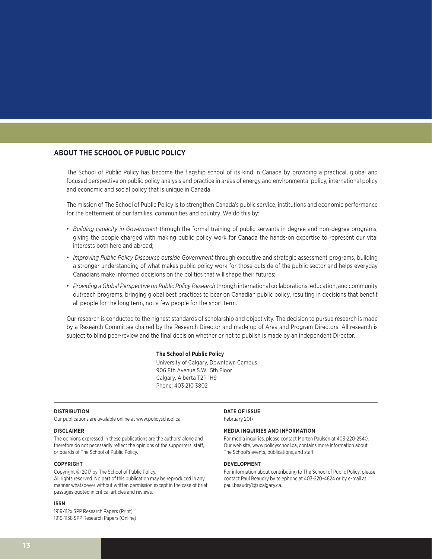## **ABOUT THE SCHOOL OF PUBLIC POLICY**

The School of Public Policy has become the flagship school of its kind in Canada by providing a practical, global and focused perspective on public policy analysis and practice in areas of energy and environmental policy, international policy and economic and social policy that is unique in Canada.

The mission of The School of Public Policy is to strengthen Canada's public service, institutions and economic performance for the betterment of our families, communities and country. We do this by:

- *Building capacity in Government* through the formal training of public servants in degree and non-degree programs, giving the people charged with making public policy work for Canada the hands-on expertise to represent our vital interests both here and abroad;
- *Improving Public Policy Discourse outside Government* through executive and strategic assessment programs, building a stronger understanding of what makes public policy work for those outside of the public sector and helps everyday Canadians make informed decisions on the politics that will shape their futures;
- *Providing a Global Perspective on Public Policy Research* through international collaborations, education, and community outreach programs, bringing global best practices to bear on Canadian public policy, resulting in decisions that benefit all people for the long term, not a few people for the short term.

Our research is conducted to the highest standards of scholarship and objectivity. The decision to pursue research is made by a Research Committee chaired by the Research Director and made up of Area and Program Directors. All research is subject to blind peer-review and the final decision whether or not to publish is made by an independent Director.

#### **The School of Public Policy**

University of Calgary, Downtown Campus 906 8th Avenue S.W., 5th Floor Calgary, Alberta T2P 1H9 Phone: 403 210 3802

#### **DISTRIBUTION**

Our publications are available online at www.policyschool.ca.

#### **DISCLAIMER**

The opinions expressed in these publications are the authors' alone and therefore do not necessarily reflect the opinions of the supporters, staff, or boards of The School of Public Policy.

#### **COPYRIGHT**

Copyright © 2017 by The School of Public Policy. All rights reserved. No part of this publication may be reproduced in any manner whatsoever without written permission except in the case of brief passages quoted in critical articles and reviews.

#### **ISSN**

1919-112x SPP Research Papers (Print) 1919-1138 SPP Research Papers (Online)

#### **DATE OF ISSUE**

February 2017

#### **MEDIA INQUIRIES AND INFORMATION**

For media inquiries, please contact Morten Paulsen at 403-220-2540. Our web site, www.policyschool.ca, contains more information about The School's events, publications, and staff.

#### **DEVELOPMENT**

For information about contributing to The School of Public Policy, please contact Paul Beaudry by telephone at 403-220-4624 or by e-mail at paul.beaudry1@ucalgary.ca.